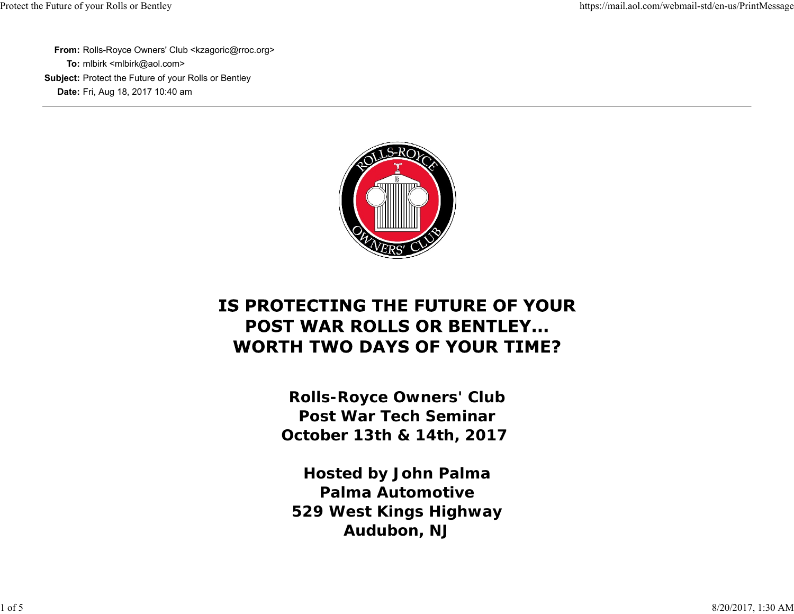**From:** Rolls-Royce Owners' Club <kzagoric@rroc.org> **To:** mlbirk <mlbirk@aol.com> **Subject:** Protect the Future of your Rolls or Bentley **Date:** Fri, Aug 18, 2017 10:40 am



## IS PROTECTING THE FUTURE OF YOUR **POST WAR ROLLS OR BENTLEY... WORTH TWO DAYS OF YOUR TIME?**

**Rolls-Royce Owners' Club Post War Tech SeminarOctober 13th & 14th, 2017** 

**Hosted by John Palma Palma Automotive529 West Kings Highway Audubon, NJ**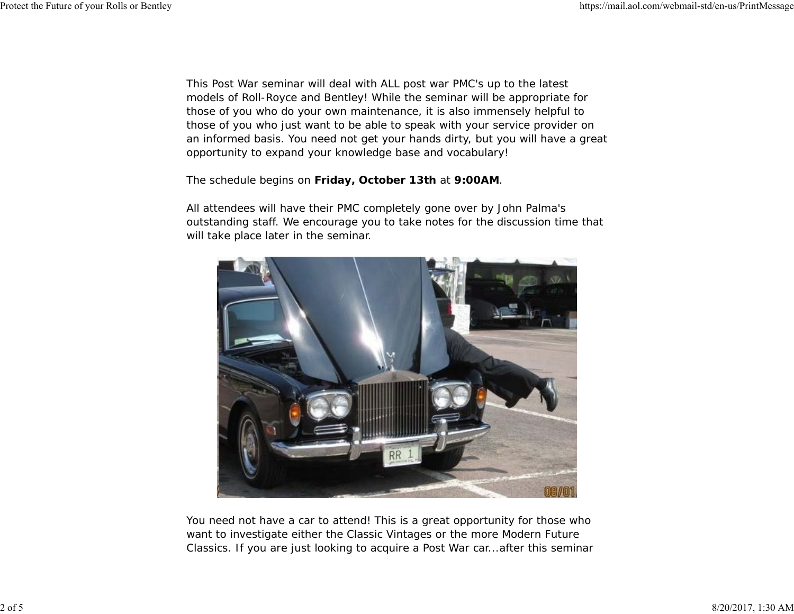This Post War seminar will deal with ALL post war PMC's up to the latest models of Roll-Royce and Bentley! While the seminar will be appropriate for those of you who do your own maintenance, it is also immensely helpful to those of you who just want to be able to speak with your service provider on an informed basis. You need not get your hands dirty, but you will have a great opportunity to expand your knowledge base and vocabulary!

#### The schedule begins on *Friday, October 13th* at *9:00AM*.

All attendees will have their PMC completely gone over by John Palma's outstanding staff. We encourage you to take notes for the discussion time that will take place later in the seminar.



You need not have a car to attend! This is a great opportunity for those who want to investigate either the Classic Vintages or the more Modern Future Classics. If you are just looking to acquire a Post War car...after this seminar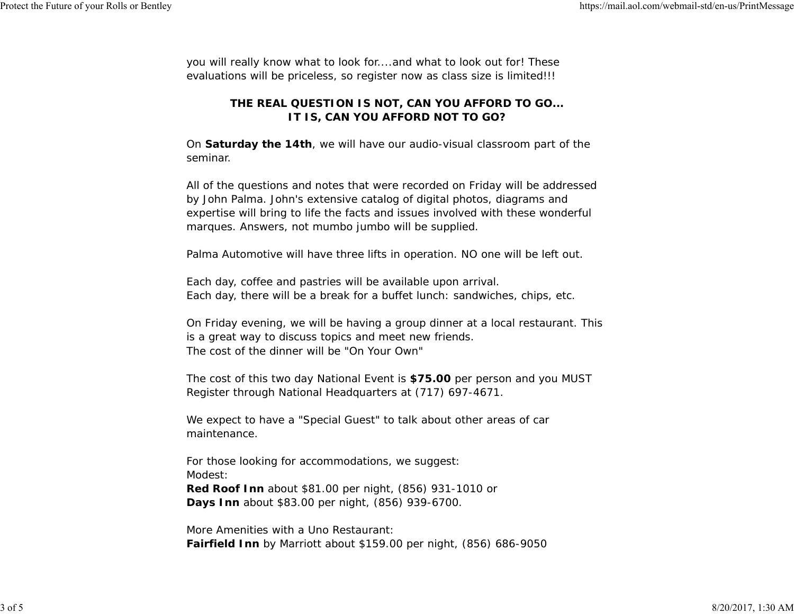you will really know what to look for....and what to look out for! These evaluations will be priceless, so register now as class size is limited!!!

### **THE REAL QUESTION IS NOT, CAN YOU AFFORD TO GO... IT IS, CAN YOU AFFORD NOT TO GO?**

On *Saturday the 14th*, we will have our audio-visual classroom part of the seminar.

All of the questions and notes that were recorded on Friday will be addressed by John Palma. John's extensive catalog of digital photos, diagrams and expertise will bring to life the facts and issues involved with these wonderful marques. Answers, not mumbo jumbo will be supplied.

Palma Automotive will have three lifts in operation. NO one will be left out.

Each day, coffee and pastries will be available upon arrival. Each day, there will be a break for a buffet lunch: sandwiches, chips, etc.

On Friday evening, we will be having a group dinner at a local restaurant. This is a great way to discuss topics and meet new friends. The cost of the dinner will be "On Your Own"

The cost of this two day National Event is *\$75.00* per person and you MUST Register through National Headquarters at (717) 697-4671.

We expect to have a "Special Guest" to talk about other areas of car maintenance.

For those looking for accommodations, we suggest: Modest:*Red Roof Inn* about \$81.00 per night, (856) 931-1010 or *Days Inn* about \$83.00 per night, (856) 939-6700.

More Amenities with a Uno Restaurant:*Fairfield Inn* by Marriott about \$159.00 per night, (856) 686-9050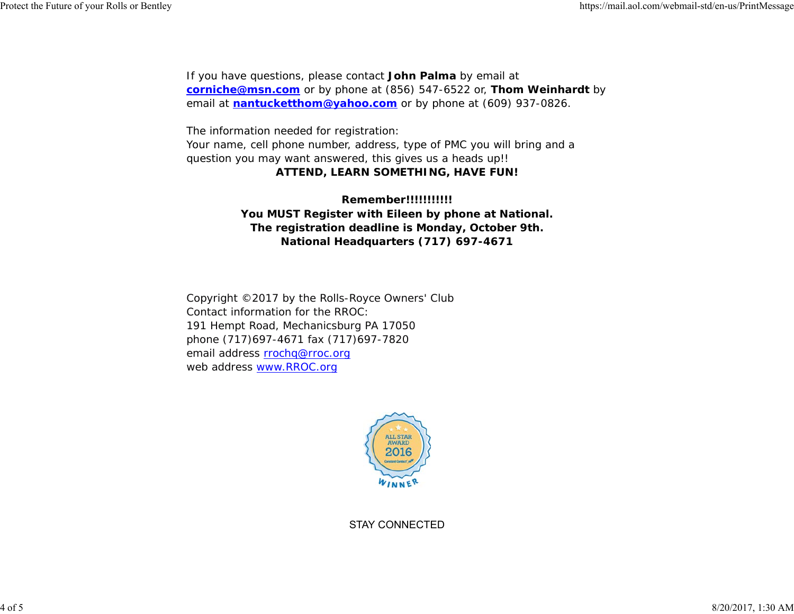If you have questions, please contact *John Palma* by email at **corniche@msn.com** or by phone at (856) 547-6522 or, *Thom Weinhardt* by email at **nantucketthom@yahoo.com** or by phone at (609) 937-0826.

The information needed for registration: Your name, cell phone number, address, type of PMC you will bring and a question you may want answered, this gives us a heads up!!

#### **ATTEND, LEARN SOMETHING, HAVE FUN!**

**Remember!!!!!!!!!!!You MUST Register with Eileen by phone at National. The registration deadline is Monday, October 9th. National Headquarters (717) 697-4671**

Copyright ©2017 by the Rolls-Royce Owners' Club Contact information for the RROC:191 Hempt Road, Mechanicsburg PA 17050 phone (717)697-4671 fax (717)697-7820 email address rrochq@rroc.org web address www.RROC.org



STAY CONNECTED